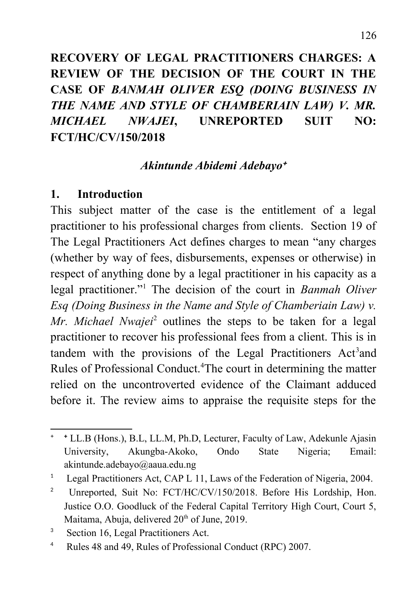# **RECOVERY OF LEGAL PRACTITIONERS CHARGES: A REVIEW OF THE DECISION OF THE COURT IN THE CASE OF** *BANMAH OLIVER ESQ (DOING BUSINESS IN THE NAME AND STYLE OF CHAMBERIAIN LAW) V. MR. MICHAEL NWAJEI***, UNREPORTED SUIT NO: FCT/HC/CV/150/2018**

### *Akintunde Abidemi Adebayo*

#### **1. Introduction**

This subject matter of the case is the entitlement of a legal practitioner to his professional charges from clients. Section 19 of The Legal Practitioners Act defines charges to mean "any charges (whether by way of fees, disbursements, expenses or otherwise) in respect of anything done by a legal practitioner in his capacity as a legal practitioner."[1](#page-0-1) The decision of the court in *Banmah Oliver Esq (Doing Business in the Name and Style of Chamberiain Law) v.* Mr. Michael Nwajei<sup>[2](#page-0-2)</sup> outlines the steps to be taken for a legal practitioner to recover his professional fees from a client. This is in tandem with the provisions of the Legal Practitioners Act<sup>[3](#page-0-3)</sup>and Rules of Professional Conduct.<sup>[4](#page-0-4)</sup>The court in determining the matter relied on the uncontroverted evidence of the Claimant adduced before it. The review aims to appraise the requisite steps for the

<span id="page-0-0"></span><sup>&</sup>lt;sup>+</sup> **LL.B** (Hons.), B.L, LL.M, Ph.D, Lecturer, Faculty of Law, Adekunle Ajasin University, Akungba-Akoko, Ondo State Nigeria; Email: [akintunde.adebayo@aaua.edu.ng](mailto:akintunde.adebayo@aaua.edu.ng)

<span id="page-0-1"></span><sup>1</sup> Legal Practitioners Act, CAP L 11, Laws of the Federation of Nigeria, 2004.

<span id="page-0-2"></span><sup>2</sup> Unreported, Suit No: FCT/HC/CV/150/2018. Before His Lordship, Hon. Justice O.O. Goodluck of the Federal Capital Territory High Court, Court 5, Maitama, Abuja, delivered 20<sup>th</sup> of June, 2019.

<span id="page-0-3"></span><sup>3</sup> Section 16, Legal Practitioners Act.

<span id="page-0-4"></span><sup>4</sup> Rules 48 and 49, Rules of Professional Conduct (RPC) 2007.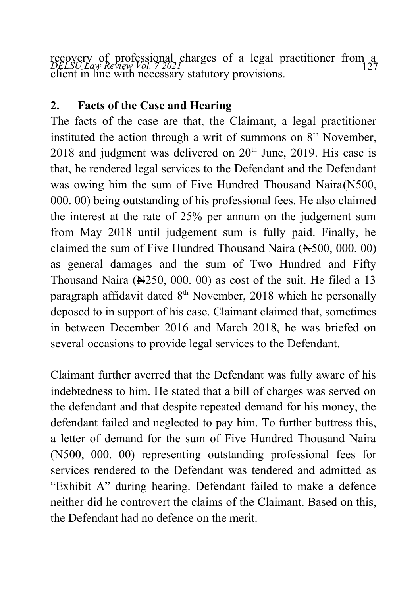*DELSU Law Review Vol. 7 2021* 127 recovery of professional charges of a legal practitioner from a client in line with necessary statutory provisions.

## **2. Facts of the Case and Hearing**

The facts of the case are that, the Claimant, a legal practitioner instituted the action through a writ of summons on  $8<sup>th</sup>$  November,  $2018$  and judgment was delivered on  $20<sup>th</sup>$  June, 2019. His case is that, he rendered legal services to the Defendant and the Defendant was owing him the sum of Five Hundred Thousand Naira (N500, 000. 00) being outstanding of his professional fees. He also claimed the interest at the rate of 25% per annum on the judgement sum from May 2018 until judgement sum is fully paid. Finally, he claimed the sum of Five Hundred Thousand Naira (N500, 000. 00) as general damages and the sum of Two Hundred and Fifty Thousand Naira (N250, 000. 00) as cost of the suit. He filed a 13 paragraph affidavit dated  $8<sup>th</sup>$  November, 2018 which he personally deposed to in support of his case. Claimant claimed that, sometimes in between December 2016 and March 2018, he was briefed on several occasions to provide legal services to the Defendant.

Claimant further averred that the Defendant was fully aware of his indebtedness to him. He stated that a bill of charges was served on the defendant and that despite repeated demand for his money, the defendant failed and neglected to pay him. To further buttress this, a letter of demand for the sum of Five Hundred Thousand Naira (N500, 000. 00) representing outstanding professional fees for services rendered to the Defendant was tendered and admitted as "Exhibit A" during hearing. Defendant failed to make a defence neither did he controvert the claims of the Claimant. Based on this, the Defendant had no defence on the merit.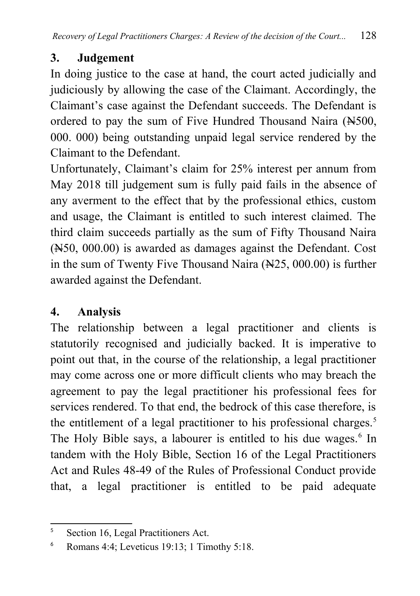# **3. Judgement**

In doing justice to the case at hand, the court acted judicially and judiciously by allowing the case of the Claimant. Accordingly, the Claimant's case against the Defendant succeeds. The Defendant is ordered to pay the sum of Five Hundred Thousand Naira (N500, 000. 000) being outstanding unpaid legal service rendered by the Claimant to the Defendant.

Unfortunately, Claimant's claim for 25% interest per annum from May 2018 till judgement sum is fully paid fails in the absence of any averment to the effect that by the professional ethics, custom and usage, the Claimant is entitled to such interest claimed. The third claim succeeds partially as the sum of Fifty Thousand Naira (N50, 000.00) is awarded as damages against the Defendant. Cost in the sum of Twenty Five Thousand Naira (No. 25, 000.00) is further awarded against the Defendant.

# **4. Analysis**

The relationship between a legal practitioner and clients is statutorily recognised and judicially backed. It is imperative to point out that, in the course of the relationship, a legal practitioner may come across one or more difficult clients who may breach the agreement to pay the legal practitioner his professional fees for services rendered. To that end, the bedrock of this case therefore, is the entitlement of a legal practitioner to his professional charges.<sup>[5](#page-2-0)</sup> The Holy Bible says, a labourer is entitled to his due wages.<sup>[6](#page-2-1)</sup> In tandem with the Holy Bible, Section 16 of the Legal Practitioners Act and Rules 48-49 of the Rules of Professional Conduct provide that, a legal practitioner is entitled to be paid adequate

<span id="page-2-0"></span><sup>5</sup> Section 16, Legal Practitioners Act.

<span id="page-2-1"></span><sup>6</sup> Romans 4:4; Leveticus 19:13; 1 Timothy 5:18.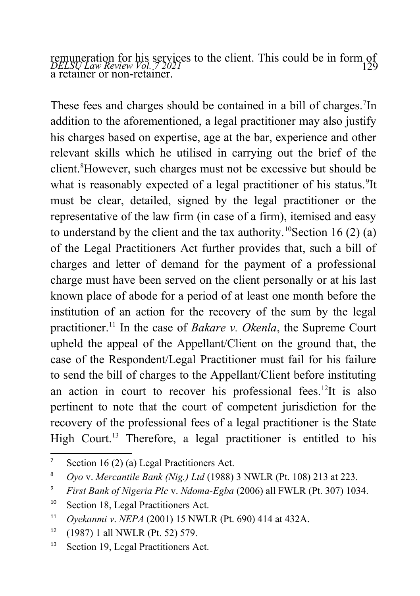*DELSU Law Review Vol. 7 2021* 129 remuneration for his services to the client. This could be in form of a retainer or non-retainer.

These fees and charges should be contained in a bill of charges.<sup>[7](#page-3-0)</sup>In addition to the aforementioned, a legal practitioner may also justify his charges based on expertise, age at the bar, experience and other relevant skills which he utilised in carrying out the brief of the client.<sup>[8](#page-3-1)</sup>However, such charges must not be excessive but should be what is reasonably expected of a legal practitioner of his status.<sup>[9](#page-3-2)</sup>It must be clear, detailed, signed by the legal practitioner or the representative of the law firm (in case of a firm), itemised and easy to understand by the client and the tax authority.<sup>[10](#page-3-3)</sup>Section 16 (2) (a) of the Legal Practitioners Act further provides that, such a bill of charges and letter of demand for the payment of a professional charge must have been served on the client personally or at his last known place of abode for a period of at least one month before the institution of an action for the recovery of the sum by the legal practitioner.[11](#page-3-4) In the case of *Bakare v. Okenla*, the Supreme Court upheld the appeal of the Appellant/Client on the ground that, the case of the Respondent/Legal Practitioner must fail for his failure to send the bill of charges to the Appellant/Client before instituting an action in court to recover his professional fees.<sup>[12](#page-3-5)</sup>It is also pertinent to note that the court of competent jurisdiction for the recovery of the professional fees of a legal practitioner is the State High Court.<sup>[13](#page-3-6)</sup> Therefore, a legal practitioner is entitled to his

<span id="page-3-0"></span><sup>7</sup> Section 16 (2) (a) Legal Practitioners Act.

<span id="page-3-1"></span><sup>8</sup>  *Oyo* v. *Mercantile Bank (Nig.) Ltd* (1988) 3 NWLR (Pt. 108) 213 at 223.

<span id="page-3-2"></span><sup>9</sup>  *First Bank of Nigeria Plc* v. *Ndoma-Egba* (2006) all FWLR (Pt. 307) 1034.

<span id="page-3-3"></span><sup>&</sup>lt;sup>10</sup> Section 18, Legal Practitioners Act.

<span id="page-3-4"></span><sup>11</sup> *Oyekanmi v*. *NEPA* (2001) 15 NWLR (Pt. 690) 414 at 432A.

<span id="page-3-5"></span> $12$  (1987) 1 all NWLR (Pt. 52) 579.

<span id="page-3-6"></span><sup>&</sup>lt;sup>13</sup> Section 19, Legal Practitioners Act.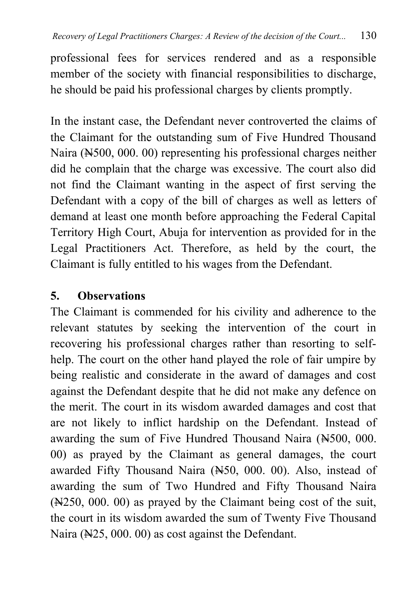professional fees for services rendered and as a responsible member of the society with financial responsibilities to discharge, he should be paid his professional charges by clients promptly.

In the instant case, the Defendant never controverted the claims of the Claimant for the outstanding sum of Five Hundred Thousand Naira (N<sub>500</sub>, 000. 00) representing his professional charges neither did he complain that the charge was excessive. The court also did not find the Claimant wanting in the aspect of first serving the Defendant with a copy of the bill of charges as well as letters of demand at least one month before approaching the Federal Capital Territory High Court, Abuja for intervention as provided for in the Legal Practitioners Act. Therefore, as held by the court, the Claimant is fully entitled to his wages from the Defendant.

## **5. Observations**

The Claimant is commended for his civility and adherence to the relevant statutes by seeking the intervention of the court in recovering his professional charges rather than resorting to selfhelp. The court on the other hand played the role of fair umpire by being realistic and considerate in the award of damages and cost against the Defendant despite that he did not make any defence on the merit. The court in its wisdom awarded damages and cost that are not likely to inflict hardship on the Defendant. Instead of awarding the sum of Five Hundred Thousand Naira (N500, 000. 00) as prayed by the Claimant as general damages, the court awarded Fifty Thousand Naira (N50, 000. 00). Also, instead of awarding the sum of Two Hundred and Fifty Thousand Naira (N250, 000. 00) as prayed by the Claimant being cost of the suit, the court in its wisdom awarded the sum of Twenty Five Thousand Naira (N25, 000. 00) as cost against the Defendant.